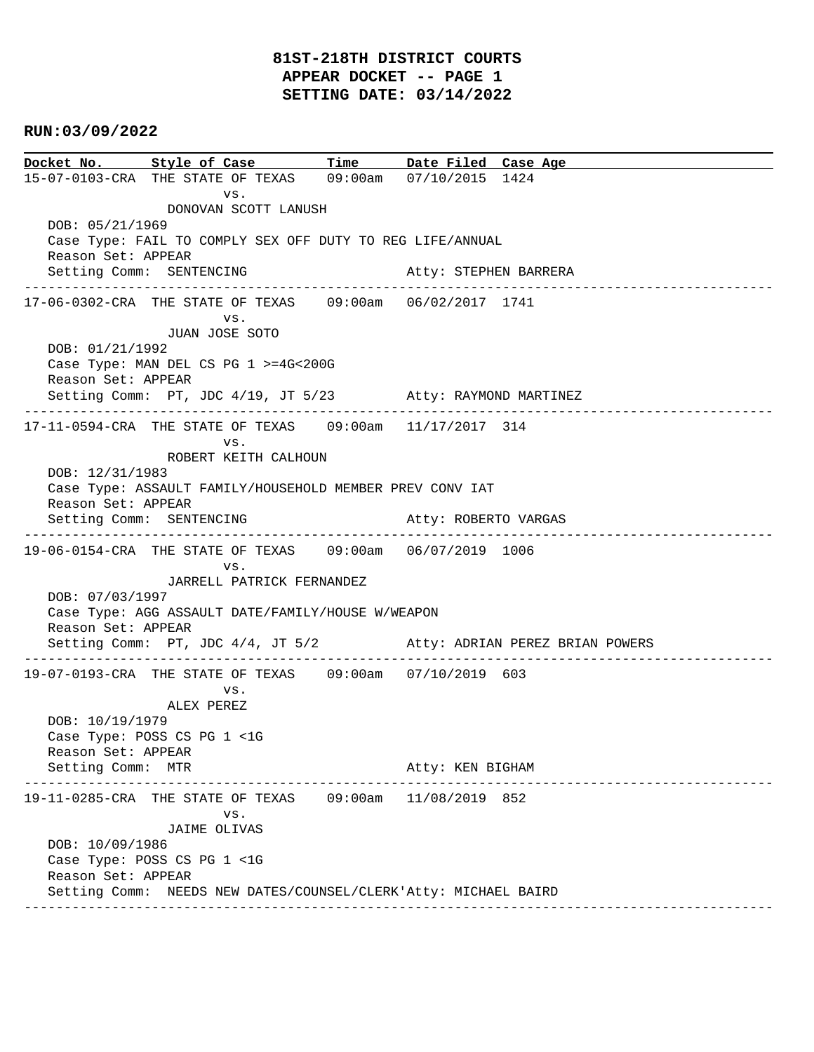# **81ST-218TH DISTRICT COURTS APPEAR DOCKET -- PAGE 1 SETTING DATE: 03/14/2022**

#### **RUN:03/09/2022**

**Docket No. Style of Case Time Date Filed Case Age**  15-07-0103-CRA THE STATE OF TEXAS 09:00am 07/10/2015 1424 vs. DONOVAN SCOTT LANUSH DOB: 05/21/1969 Case Type: FAIL TO COMPLY SEX OFF DUTY TO REG LIFE/ANNUAL Reason Set: APPEAR Setting Comm: SENTENCING Atty: STEPHEN BARRERA ---------------------------------------------------------------------------------------------- 17-06-0302-CRA THE STATE OF TEXAS 09:00am 06/02/2017 1741 vs. JUAN JOSE SOTO DOB: 01/21/1992 Case Type: MAN DEL CS PG 1 >=4G<200G Reason Set: APPEAR Setting Comm: PT, JDC 4/19, JT 5/23 Atty: RAYMOND MARTINEZ ---------------------------------------------------------------------------------------------- 17-11-0594-CRA THE STATE OF TEXAS 09:00am 11/17/2017 314 vs. ROBERT KEITH CALHOUN DOB: 12/31/1983 Case Type: ASSAULT FAMILY/HOUSEHOLD MEMBER PREV CONV IAT Reason Set: APPEAR Setting Comm: SENTENCING **Atty: ROBERTO VARGAS** ---------------------------------------------------------------------------------------------- 19-06-0154-CRA THE STATE OF TEXAS 09:00am 06/07/2019 1006 vs. JARRELL PATRICK FERNANDEZ DOB: 07/03/1997 Case Type: AGG ASSAULT DATE/FAMILY/HOUSE W/WEAPON Reason Set: APPEAR Setting Comm: PT, JDC 4/4, JT 5/2 Atty: ADRIAN PEREZ BRIAN POWERS ---------------------------------------------------------------------------------------------- 19-07-0193-CRA THE STATE OF TEXAS 09:00am 07/10/2019 603 vs. ALEX PEREZ DOB: 10/19/1979 Case Type: POSS CS PG 1 <1G Reason Set: APPEAR Setting Comm: MTR Atty: KEN BIGHAM ---------------------------------------------------------------------------------------------- 19-11-0285-CRA THE STATE OF TEXAS 09:00am 11/08/2019 852 vs. JAIME OLIVAS DOB: 10/09/1986 Case Type: POSS CS PG 1 <1G Reason Set: APPEAR Setting Comm: NEEDS NEW DATES/COUNSEL/CLERK'Atty: MICHAEL BAIRD ----------------------------------------------------------------------------------------------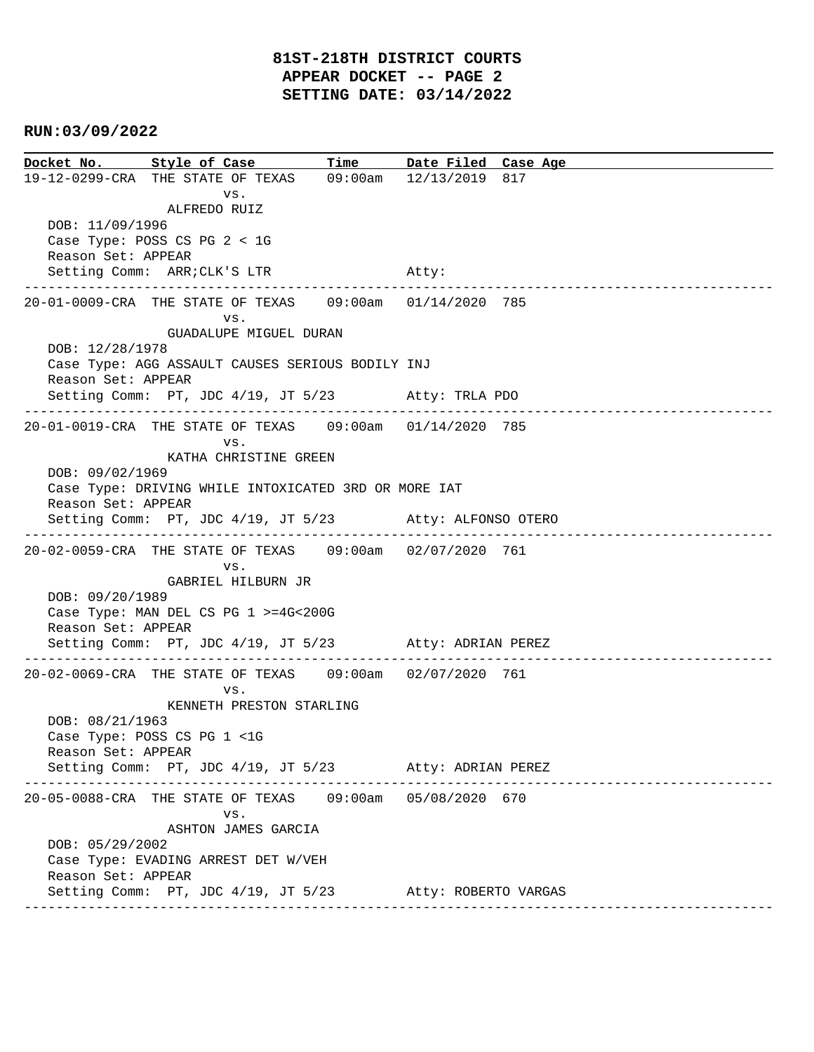**Docket No. Style of Case Time Date Filed Case Age**  19-12-0299-CRA THE STATE OF TEXAS 09:00am 12/13/2019 817 vs. ALFREDO RUIZ DOB: 11/09/1996 Case Type: POSS CS PG 2 < 1G Reason Set: APPEAR Setting Comm: ARR; CLK'S LTR Atty: ---------------------------------------------------------------------------------------------- 20-01-0009-CRA THE STATE OF TEXAS 09:00am 01/14/2020 785 vs. GUADALUPE MIGUEL DURAN DOB: 12/28/1978 Case Type: AGG ASSAULT CAUSES SERIOUS BODILY INJ Reason Set: APPEAR Setting Comm: PT, JDC 4/19, JT 5/23 Atty: TRLA PDO ---------------------------------------------------------------------------------------------- 20-01-0019-CRA THE STATE OF TEXAS 09:00am 01/14/2020 785 vs. KATHA CHRISTINE GREEN DOB: 09/02/1969 Case Type: DRIVING WHILE INTOXICATED 3RD OR MORE IAT Reason Set: APPEAR Setting Comm: PT, JDC 4/19, JT 5/23 Atty: ALFONSO OTERO ---------------------------------------------------------------------------------------------- 20-02-0059-CRA THE STATE OF TEXAS 09:00am 02/07/2020 761 vs. GABRIEL HILBURN JR DOB: 09/20/1989 Case Type: MAN DEL CS PG 1 >=4G<200G Reason Set: APPEAR Setting Comm: PT, JDC 4/19, JT 5/23 Atty: ADRIAN PEREZ ---------------------------------------------------------------------------------------------- 20-02-0069-CRA THE STATE OF TEXAS 09:00am 02/07/2020 761 vs. KENNETH PRESTON STARLING DOB: 08/21/1963 Case Type: POSS CS PG 1 <1G Reason Set: APPEAR Setting Comm: PT, JDC 4/19, JT 5/23 Atty: ADRIAN PEREZ ---------------------------------------------------------------------------------------------- 20-05-0088-CRA THE STATE OF TEXAS 09:00am 05/08/2020 670 vs. ASHTON JAMES GARCIA DOB: 05/29/2002 Case Type: EVADING ARREST DET W/VEH Reason Set: APPEAR Setting Comm: PT, JDC 4/19, JT 5/23 Atty: ROBERTO VARGAS ----------------------------------------------------------------------------------------------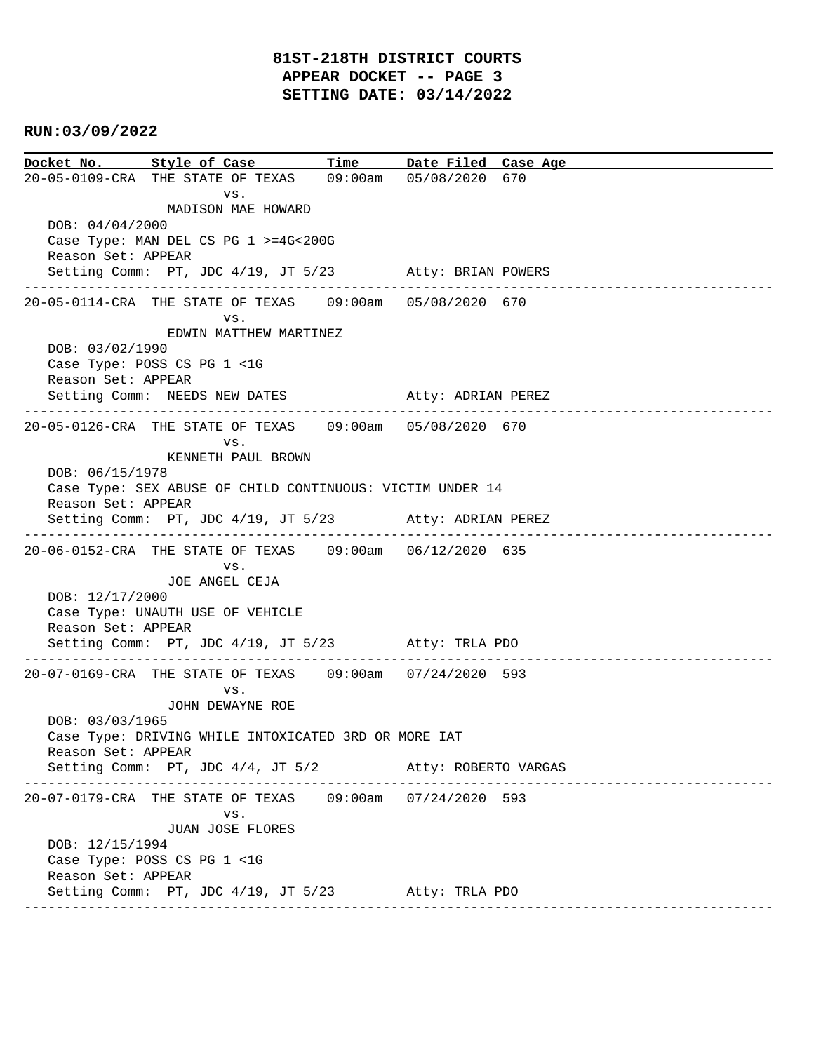**Docket No. Style of Case Time Date Filed Case Age**  20-05-0109-CRA THE STATE OF TEXAS 09:00am 05/08/2020 670 vs. MADISON MAE HOWARD DOB: 04/04/2000 Case Type: MAN DEL CS PG 1 >=4G<200G Reason Set: APPEAR Setting Comm: PT, JDC 4/19, JT 5/23 Atty: BRIAN POWERS ---------------------------------------------------------------------------------------------- 20-05-0114-CRA THE STATE OF TEXAS 09:00am 05/08/2020 670 vs. EDWIN MATTHEW MARTINEZ DOB: 03/02/1990 Case Type: POSS CS PG 1 <1G Reason Set: APPEAR Setting Comm: NEEDS NEW DATES Atty: ADRIAN PEREZ ---------------------------------------------------------------------------------------------- 20-05-0126-CRA THE STATE OF TEXAS 09:00am 05/08/2020 670 vs. KENNETH PAUL BROWN DOB: 06/15/1978 Case Type: SEX ABUSE OF CHILD CONTINUOUS: VICTIM UNDER 14 Reason Set: APPEAR Setting Comm: PT, JDC 4/19, JT 5/23 Atty: ADRIAN PEREZ ---------------------------------------------------------------------------------------------- 20-06-0152-CRA THE STATE OF TEXAS 09:00am 06/12/2020 635 vs. JOE ANGEL CEJA DOB: 12/17/2000 Case Type: UNAUTH USE OF VEHICLE Reason Set: APPEAR Setting Comm: PT, JDC 4/19, JT 5/23 Atty: TRLA PDO ---------------------------------------------------------------------------------------------- 20-07-0169-CRA THE STATE OF TEXAS 09:00am 07/24/2020 593 vs. JOHN DEWAYNE ROE DOB: 03/03/1965 Case Type: DRIVING WHILE INTOXICATED 3RD OR MORE IAT Reason Set: APPEAR Setting Comm: PT, JDC 4/4, JT 5/2 Atty: ROBERTO VARGAS ---------------------------------------------------------------------------------------------- 20-07-0179-CRA THE STATE OF TEXAS 09:00am 07/24/2020 593 vs. JUAN JOSE FLORES DOB: 12/15/1994 Case Type: POSS CS PG 1 <1G Reason Set: APPEAR Setting Comm: PT, JDC 4/19, JT 5/23 Atty: TRLA PDO ----------------------------------------------------------------------------------------------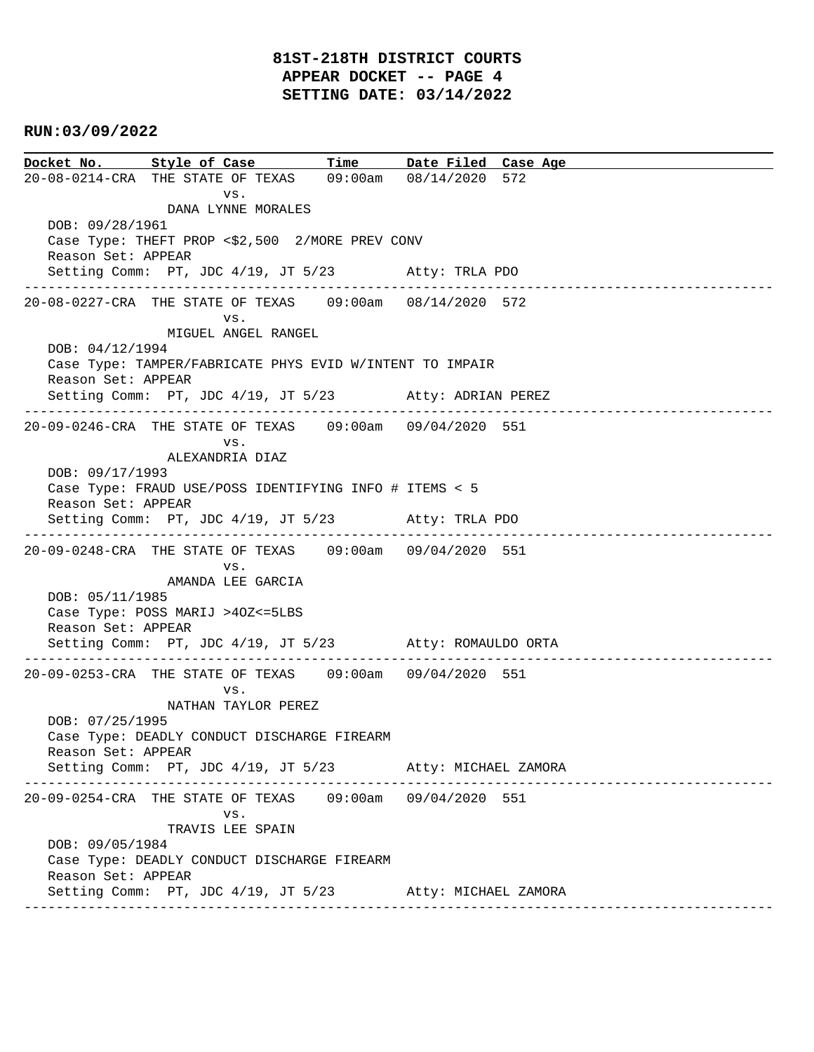# **81ST-218TH DISTRICT COURTS APPEAR DOCKET -- PAGE 4 SETTING DATE: 03/14/2022**

### **RUN:03/09/2022**

**Docket No. Style of Case Time Date Filed Case Age**  20-08-0214-CRA THE STATE OF TEXAS 09:00am 08/14/2020 572 vs. DANA LYNNE MORALES DOB: 09/28/1961 Case Type: THEFT PROP <\$2,500 2/MORE PREV CONV Reason Set: APPEAR Setting Comm: PT, JDC 4/19, JT 5/23 Atty: TRLA PDO ---------------------------------------------------------------------------------------------- 20-08-0227-CRA THE STATE OF TEXAS 09:00am 08/14/2020 572 vs. MIGUEL ANGEL RANGEL DOB: 04/12/1994 Case Type: TAMPER/FABRICATE PHYS EVID W/INTENT TO IMPAIR Reason Set: APPEAR Setting Comm: PT, JDC 4/19, JT 5/23 Atty: ADRIAN PEREZ ---------------------------------------------------------------------------------------------- 20-09-0246-CRA THE STATE OF TEXAS 09:00am 09/04/2020 551 vs. ALEXANDRIA DIAZ DOB: 09/17/1993 Case Type: FRAUD USE/POSS IDENTIFYING INFO # ITEMS < 5 Reason Set: APPEAR Setting Comm: PT, JDC 4/19, JT 5/23 Atty: TRLA PDO ---------------------------------------------------------------------------------------------- 20-09-0248-CRA THE STATE OF TEXAS 09:00am 09/04/2020 551 vs. AMANDA LEE GARCIA DOB: 05/11/1985 Case Type: POSS MARIJ >4OZ<=5LBS Reason Set: APPEAR Setting Comm: PT, JDC 4/19, JT 5/23 Atty: ROMAULDO ORTA ---------------------------------------------------------------------------------------------- 20-09-0253-CRA THE STATE OF TEXAS 09:00am 09/04/2020 551 vs. NATHAN TAYLOR PEREZ DOB: 07/25/1995 Case Type: DEADLY CONDUCT DISCHARGE FIREARM Reason Set: APPEAR Setting Comm: PT, JDC 4/19, JT 5/23 Atty: MICHAEL ZAMORA ---------------------------------------------------------------------------------------------- 20-09-0254-CRA THE STATE OF TEXAS 09:00am 09/04/2020 551 vs. TRAVIS LEE SPAIN DOB: 09/05/1984 Case Type: DEADLY CONDUCT DISCHARGE FIREARM Reason Set: APPEAR Setting Comm: PT, JDC 4/19, JT 5/23 Atty: MICHAEL ZAMORA ----------------------------------------------------------------------------------------------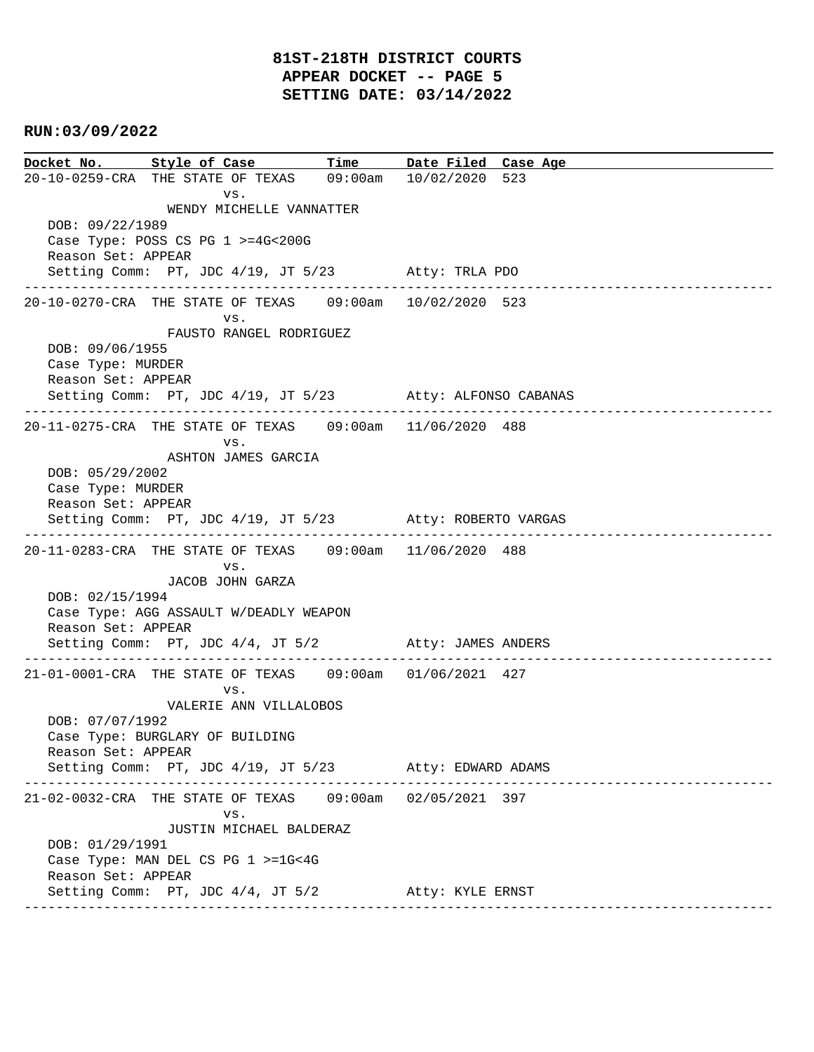**Docket No. Style of Case Time Date Filed Case Age**  20-10-0259-CRA THE STATE OF TEXAS 09:00am 10/02/2020 523 vs. WENDY MICHELLE VANNATTER DOB: 09/22/1989 Case Type: POSS CS PG 1 >=4G<200G Reason Set: APPEAR Setting Comm: PT, JDC 4/19, JT 5/23 Atty: TRLA PDO ---------------------------------------------------------------------------------------------- 20-10-0270-CRA THE STATE OF TEXAS 09:00am 10/02/2020 523 vs. FAUSTO RANGEL RODRIGUEZ DOB: 09/06/1955 Case Type: MURDER Reason Set: APPEAR Setting Comm: PT, JDC 4/19, JT 5/23 Atty: ALFONSO CABANAS ---------------------------------------------------------------------------------------------- 20-11-0275-CRA THE STATE OF TEXAS 09:00am 11/06/2020 488 vs. ASHTON JAMES GARCIA DOB: 05/29/2002 Case Type: MURDER Reason Set: APPEAR Setting Comm: PT, JDC 4/19, JT 5/23 Atty: ROBERTO VARGAS ---------------------------------------------------------------------------------------------- 20-11-0283-CRA THE STATE OF TEXAS 09:00am 11/06/2020 488 vs. JACOB JOHN GARZA DOB: 02/15/1994 Case Type: AGG ASSAULT W/DEADLY WEAPON Reason Set: APPEAR Setting Comm: PT, JDC 4/4, JT 5/2 Atty: JAMES ANDERS ---------------------------------------------------------------------------------------------- 21-01-0001-CRA THE STATE OF TEXAS 09:00am 01/06/2021 427 vs. VALERIE ANN VILLALOBOS DOB: 07/07/1992 Case Type: BURGLARY OF BUILDING Reason Set: APPEAR Setting Comm: PT, JDC 4/19, JT 5/23 Atty: EDWARD ADAMS ---------------------------------------------------------------------------------------------- 21-02-0032-CRA THE STATE OF TEXAS 09:00am 02/05/2021 397 vs. JUSTIN MICHAEL BALDERAZ DOB: 01/29/1991 Case Type: MAN DEL CS PG 1 >=1G<4G Reason Set: APPEAR Setting Comm: PT, JDC 4/4, JT 5/2 Atty: KYLE ERNST ----------------------------------------------------------------------------------------------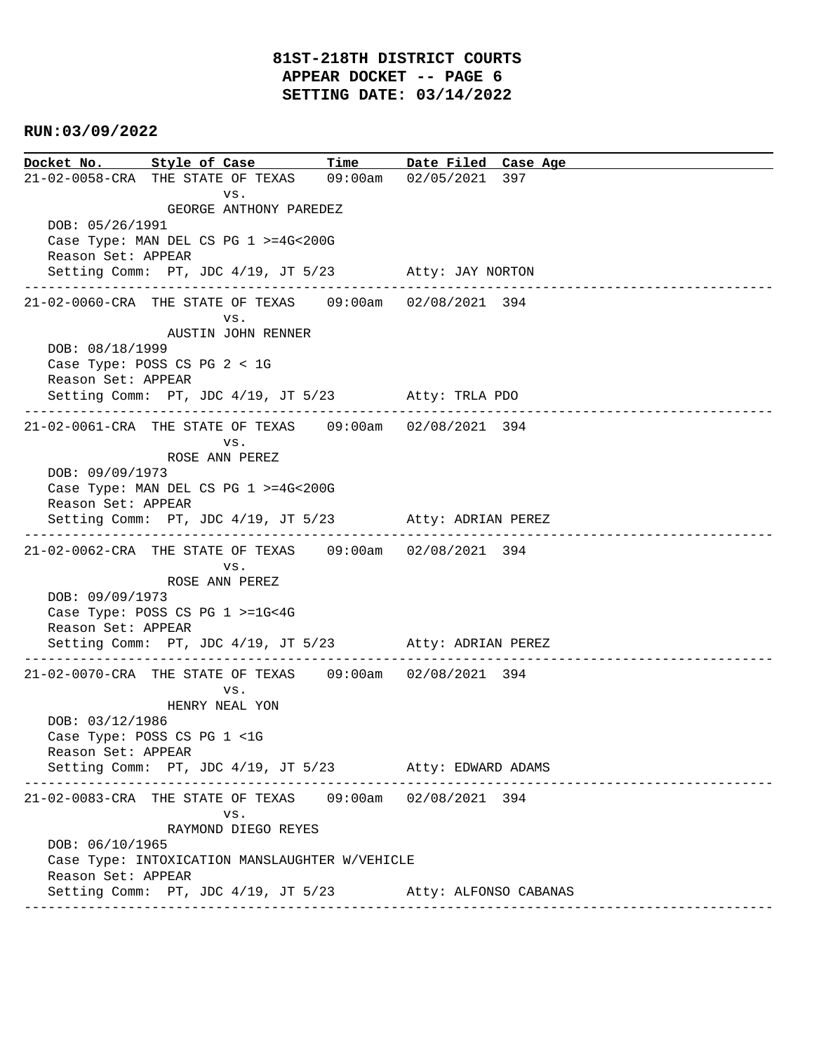**Docket No. Style of Case Time Date Filed Case Age**  21-02-0058-CRA THE STATE OF TEXAS 09:00am 02/05/2021 397 vs. GEORGE ANTHONY PAREDEZ DOB: 05/26/1991 Case Type: MAN DEL CS PG 1 >=4G<200G Reason Set: APPEAR Setting Comm: PT, JDC 4/19, JT 5/23 Atty: JAY NORTON ---------------------------------------------------------------------------------------------- 21-02-0060-CRA THE STATE OF TEXAS 09:00am 02/08/2021 394 vs. AUSTIN JOHN RENNER DOB: 08/18/1999 Case Type: POSS CS PG 2 < 1G Reason Set: APPEAR Setting Comm: PT, JDC 4/19, JT 5/23 Atty: TRLA PDO ---------------------------------------------------------------------------------------------- 21-02-0061-CRA THE STATE OF TEXAS 09:00am 02/08/2021 394 vs. ROSE ANN PEREZ DOB: 09/09/1973 Case Type: MAN DEL CS PG 1 >=4G<200G Reason Set: APPEAR Setting Comm: PT, JDC 4/19, JT 5/23 Atty: ADRIAN PEREZ ---------------------------------------------------------------------------------------------- 21-02-0062-CRA THE STATE OF TEXAS 09:00am 02/08/2021 394 vs. ROSE ANN PEREZ DOB: 09/09/1973 Case Type: POSS CS PG 1 >=1G<4G Reason Set: APPEAR Setting Comm: PT, JDC 4/19, JT 5/23 Atty: ADRIAN PEREZ ---------------------------------------------------------------------------------------------- 21-02-0070-CRA THE STATE OF TEXAS 09:00am 02/08/2021 394 vs. HENRY NEAL YON DOB: 03/12/1986 Case Type: POSS CS PG 1 <1G Reason Set: APPEAR Setting Comm: PT, JDC 4/19, JT 5/23 Atty: EDWARD ADAMS ---------------------------------------------------------------------------------------------- 21-02-0083-CRA THE STATE OF TEXAS 09:00am 02/08/2021 394 vs. RAYMOND DIEGO REYES DOB: 06/10/1965 Case Type: INTOXICATION MANSLAUGHTER W/VEHICLE Reason Set: APPEAR Setting Comm: PT, JDC 4/19, JT 5/23 Atty: ALFONSO CABANAS ----------------------------------------------------------------------------------------------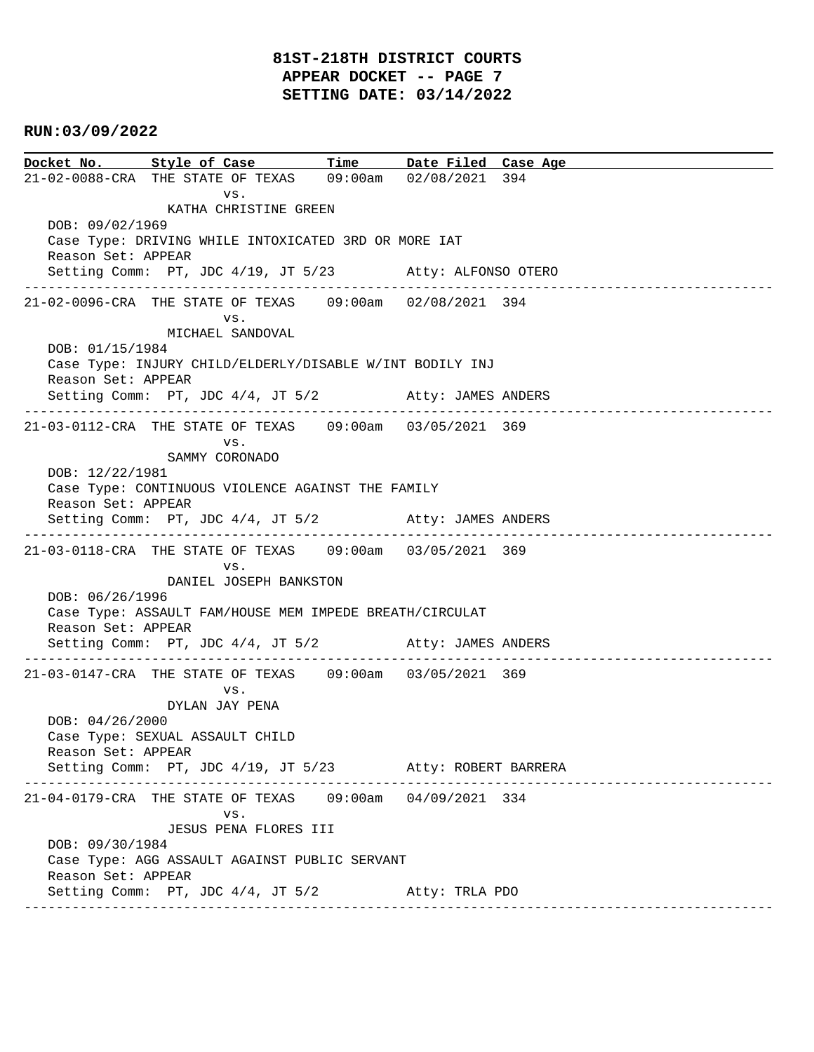# **81ST-218TH DISTRICT COURTS APPEAR DOCKET -- PAGE 7 SETTING DATE: 03/14/2022**

### **RUN:03/09/2022**

**Docket No. Style of Case Time Date Filed Case Age**  21-02-0088-CRA THE STATE OF TEXAS 09:00am 02/08/2021 394 vs. KATHA CHRISTINE GREEN DOB: 09/02/1969 Case Type: DRIVING WHILE INTOXICATED 3RD OR MORE IAT Reason Set: APPEAR Setting Comm: PT, JDC 4/19, JT 5/23 Atty: ALFONSO OTERO ---------------------------------------------------------------------------------------------- 21-02-0096-CRA THE STATE OF TEXAS 09:00am 02/08/2021 394 vs. MICHAEL SANDOVAL DOB: 01/15/1984 Case Type: INJURY CHILD/ELDERLY/DISABLE W/INT BODILY INJ Reason Set: APPEAR Setting Comm: PT, JDC 4/4, JT 5/2 Atty: JAMES ANDERS ---------------------------------------------------------------------------------------------- 21-03-0112-CRA THE STATE OF TEXAS 09:00am 03/05/2021 369 vs. SAMMY CORONADO DOB: 12/22/1981 Case Type: CONTINUOUS VIOLENCE AGAINST THE FAMILY Reason Set: APPEAR Setting Comm: PT, JDC 4/4, JT 5/2 Atty: JAMES ANDERS ---------------------------------------------------------------------------------------------- 21-03-0118-CRA THE STATE OF TEXAS 09:00am 03/05/2021 369 vs. DANIEL JOSEPH BANKSTON DOB: 06/26/1996 Case Type: ASSAULT FAM/HOUSE MEM IMPEDE BREATH/CIRCULAT Reason Set: APPEAR Setting Comm: PT, JDC 4/4, JT 5/2 Atty: JAMES ANDERS ---------------------------------------------------------------------------------------------- 21-03-0147-CRA THE STATE OF TEXAS 09:00am 03/05/2021 369 vs. DYLAN JAY PENA DOB: 04/26/2000 Case Type: SEXUAL ASSAULT CHILD Reason Set: APPEAR Setting Comm: PT, JDC 4/19, JT 5/23 Atty: ROBERT BARRERA ---------------------------------------------------------------------------------------------- 21-04-0179-CRA THE STATE OF TEXAS 09:00am 04/09/2021 334 vs. JESUS PENA FLORES III DOB: 09/30/1984 Case Type: AGG ASSAULT AGAINST PUBLIC SERVANT Reason Set: APPEAR Setting Comm: PT, JDC 4/4, JT 5/2 Atty: TRLA PDO ----------------------------------------------------------------------------------------------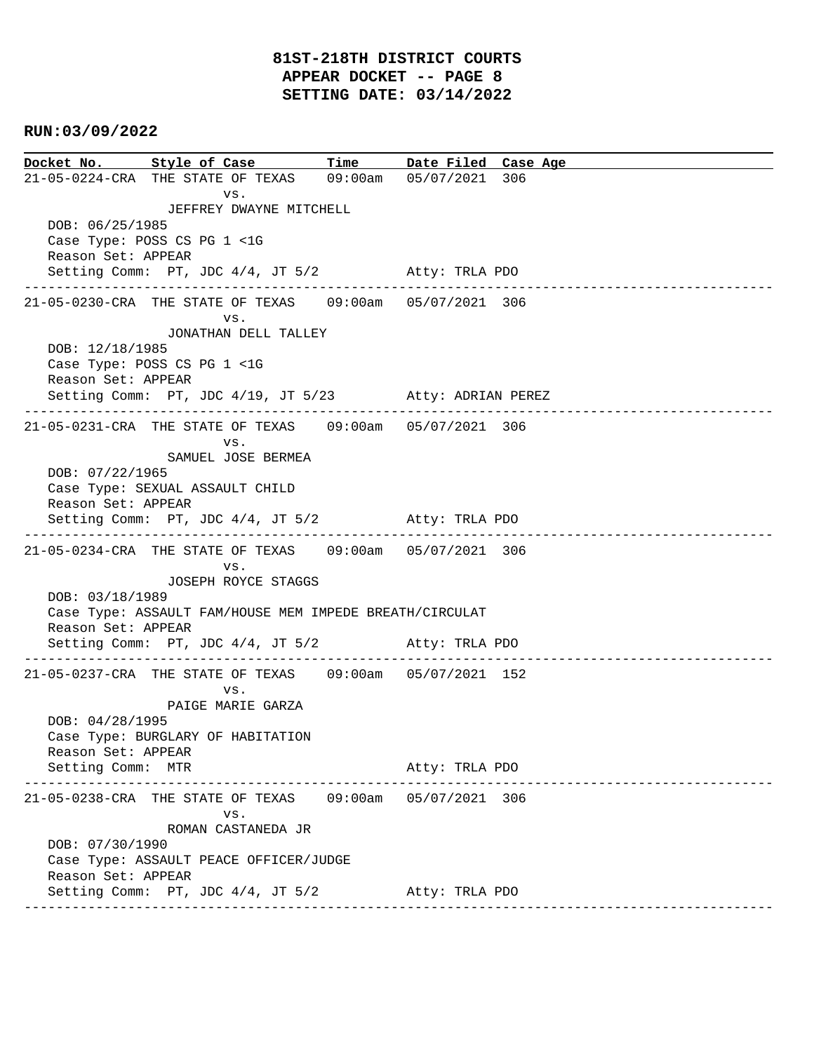**Docket No. Style of Case Time Date Filed Case Age**  21-05-0224-CRA THE STATE OF TEXAS 09:00am 05/07/2021 306 vs. JEFFREY DWAYNE MITCHELL DOB: 06/25/1985 Case Type: POSS CS PG 1 <1G Reason Set: APPEAR Setting Comm: PT, JDC 4/4, JT 5/2 Atty: TRLA PDO ---------------------------------------------------------------------------------------------- 21-05-0230-CRA THE STATE OF TEXAS 09:00am 05/07/2021 306 vs. JONATHAN DELL TALLEY DOB: 12/18/1985 Case Type: POSS CS PG 1 <1G Reason Set: APPEAR Setting Comm: PT, JDC 4/19, JT 5/23 Atty: ADRIAN PEREZ ---------------------------------------------------------------------------------------------- 21-05-0231-CRA THE STATE OF TEXAS 09:00am 05/07/2021 306 vs. SAMUEL JOSE BERMEA DOB: 07/22/1965 Case Type: SEXUAL ASSAULT CHILD Reason Set: APPEAR Setting Comm: PT, JDC 4/4, JT 5/2 Atty: TRLA PDO ---------------------------------------------------------------------------------------------- 21-05-0234-CRA THE STATE OF TEXAS 09:00am 05/07/2021 306 vs. JOSEPH ROYCE STAGGS DOB: 03/18/1989 Case Type: ASSAULT FAM/HOUSE MEM IMPEDE BREATH/CIRCULAT Reason Set: APPEAR Setting Comm: PT, JDC 4/4, JT 5/2 Atty: TRLA PDO ---------------------------------------------------------------------------------------------- 21-05-0237-CRA THE STATE OF TEXAS 09:00am 05/07/2021 152 vs. PAIGE MARIE GARZA DOB: 04/28/1995 Case Type: BURGLARY OF HABITATION Reason Set: APPEAR Setting Comm: MTR Atty: TRLA PDO ---------------------------------------------------------------------------------------------- 21-05-0238-CRA THE STATE OF TEXAS 09:00am 05/07/2021 306 vs. ROMAN CASTANEDA JR DOB: 07/30/1990 Case Type: ASSAULT PEACE OFFICER/JUDGE Reason Set: APPEAR Setting Comm: PT, JDC 4/4, JT 5/2 Atty: TRLA PDO ----------------------------------------------------------------------------------------------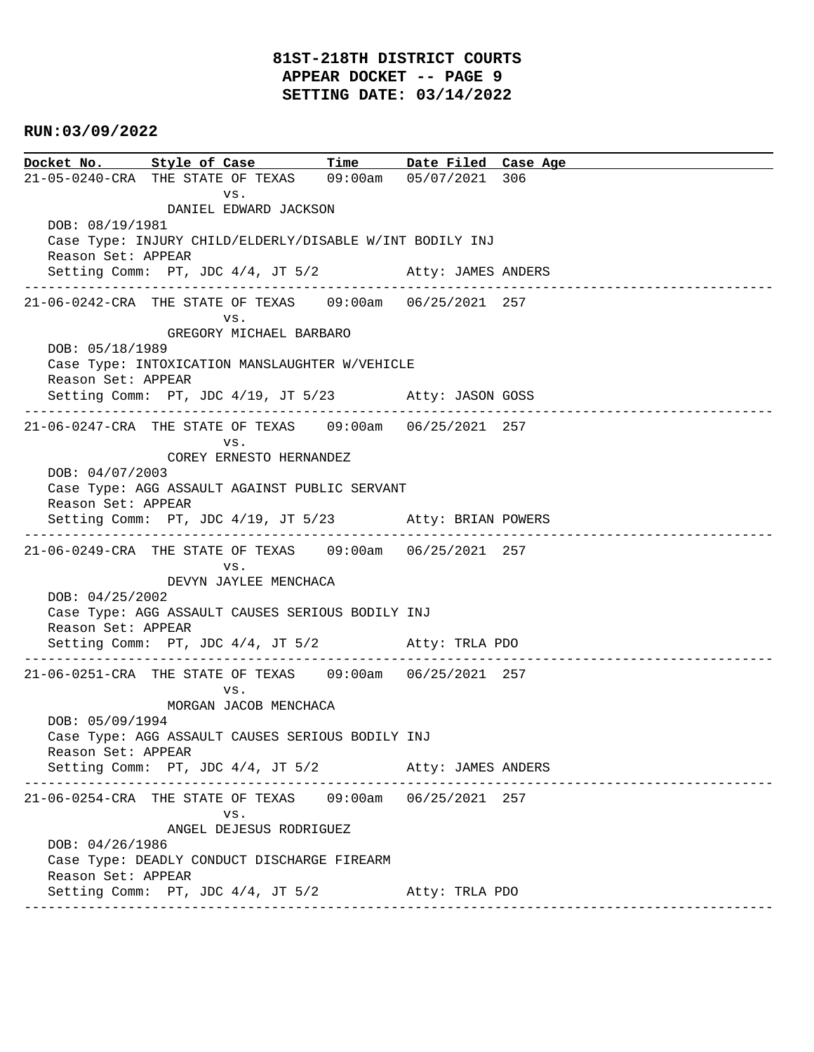# **81ST-218TH DISTRICT COURTS APPEAR DOCKET -- PAGE 9 SETTING DATE: 03/14/2022**

### **RUN:03/09/2022**

**Docket No. Style of Case Time Date Filed Case Age**  21-05-0240-CRA THE STATE OF TEXAS 09:00am 05/07/2021 306 vs. DANIEL EDWARD JACKSON DOB: 08/19/1981 Case Type: INJURY CHILD/ELDERLY/DISABLE W/INT BODILY INJ Reason Set: APPEAR Setting Comm: PT, JDC  $4/4$ , JT  $5/2$  Atty: JAMES ANDERS ---------------------------------------------------------------------------------------------- 21-06-0242-CRA THE STATE OF TEXAS 09:00am 06/25/2021 257 vs. GREGORY MICHAEL BARBARO DOB: 05/18/1989 Case Type: INTOXICATION MANSLAUGHTER W/VEHICLE Reason Set: APPEAR Setting Comm: PT, JDC 4/19, JT 5/23 Atty: JASON GOSS ---------------------------------------------------------------------------------------------- 21-06-0247-CRA THE STATE OF TEXAS 09:00am 06/25/2021 257 vs. COREY ERNESTO HERNANDEZ DOB: 04/07/2003 Case Type: AGG ASSAULT AGAINST PUBLIC SERVANT Reason Set: APPEAR Setting Comm: PT, JDC 4/19, JT 5/23 Atty: BRIAN POWERS ---------------------------------------------------------------------------------------------- 21-06-0249-CRA THE STATE OF TEXAS 09:00am 06/25/2021 257 vs. DEVYN JAYLEE MENCHACA DOB: 04/25/2002 Case Type: AGG ASSAULT CAUSES SERIOUS BODILY INJ Reason Set: APPEAR Setting Comm: PT, JDC 4/4, JT 5/2 Atty: TRLA PDO ---------------------------------------------------------------------------------------------- 21-06-0251-CRA THE STATE OF TEXAS 09:00am 06/25/2021 257 vs. MORGAN JACOB MENCHACA DOB: 05/09/1994 Case Type: AGG ASSAULT CAUSES SERIOUS BODILY INJ Reason Set: APPEAR Setting Comm: PT, JDC 4/4, JT 5/2 Atty: JAMES ANDERS ---------------------------------------------------------------------------------------------- 21-06-0254-CRA THE STATE OF TEXAS 09:00am 06/25/2021 257 vs. ANGEL DEJESUS RODRIGUEZ DOB: 04/26/1986 Case Type: DEADLY CONDUCT DISCHARGE FIREARM Reason Set: APPEAR Setting Comm: PT, JDC 4/4, JT 5/2 Atty: TRLA PDO ----------------------------------------------------------------------------------------------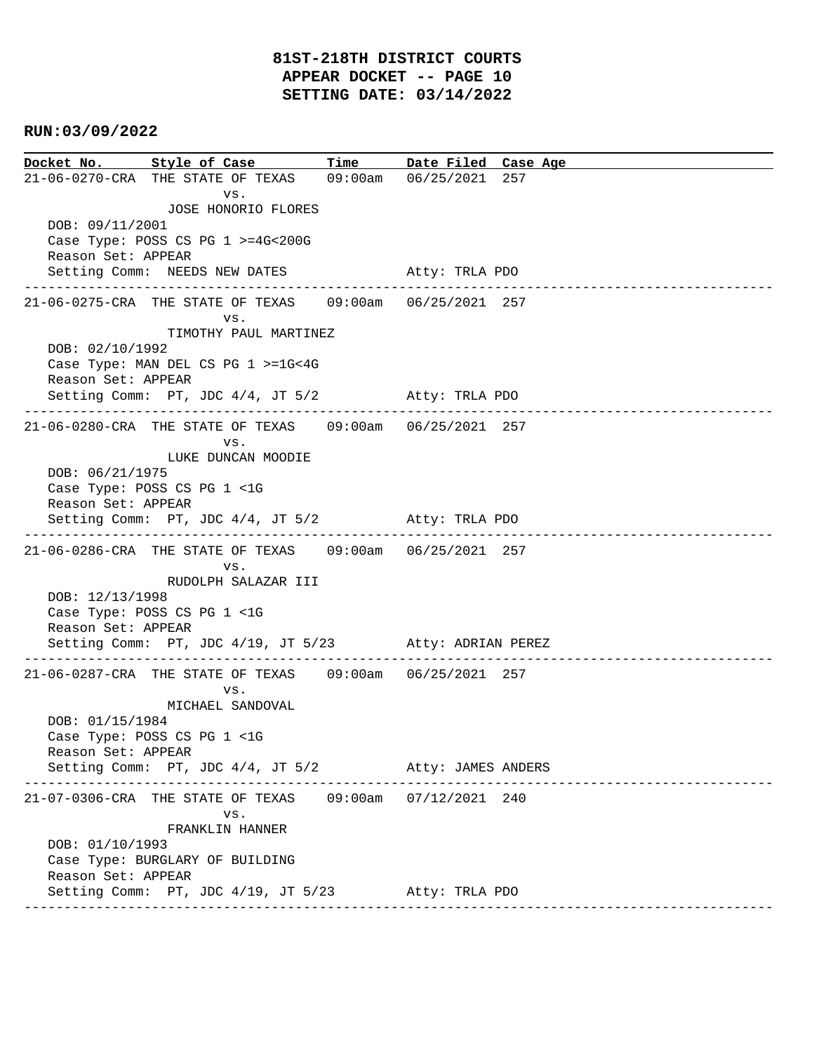**Docket No. Style of Case Time Date Filed Case Age**  21-06-0270-CRA THE STATE OF TEXAS 09:00am 06/25/2021 257 vs. JOSE HONORIO FLORES DOB: 09/11/2001 Case Type: POSS CS PG 1 >=4G<200G Reason Set: APPEAR Setting Comm: NEEDS NEW DATES Atty: TRLA PDO ---------------------------------------------------------------------------------------------- 21-06-0275-CRA THE STATE OF TEXAS 09:00am 06/25/2021 257 vs. TIMOTHY PAUL MARTINEZ DOB: 02/10/1992 Case Type: MAN DEL CS PG 1 >=1G<4G Reason Set: APPEAR Setting Comm: PT, JDC 4/4, JT 5/2 Atty: TRLA PDO ---------------------------------------------------------------------------------------------- 21-06-0280-CRA THE STATE OF TEXAS 09:00am 06/25/2021 257 vs. LUKE DUNCAN MOODIE DOB: 06/21/1975 Case Type: POSS CS PG 1 <1G Reason Set: APPEAR Setting Comm: PT, JDC 4/4, JT 5/2 Atty: TRLA PDO ---------------------------------------------------------------------------------------------- 21-06-0286-CRA THE STATE OF TEXAS 09:00am 06/25/2021 257 vs. RUDOLPH SALAZAR III DOB: 12/13/1998 Case Type: POSS CS PG 1 <1G Reason Set: APPEAR Setting Comm: PT, JDC 4/19, JT 5/23 Atty: ADRIAN PEREZ ---------------------------------------------------------------------------------------------- 21-06-0287-CRA THE STATE OF TEXAS 09:00am 06/25/2021 257 vs. MICHAEL SANDOVAL DOB: 01/15/1984 Case Type: POSS CS PG 1 <1G Reason Set: APPEAR Setting Comm: PT, JDC 4/4, JT 5/2 Atty: JAMES ANDERS ---------------------------------------------------------------------------------------------- 21-07-0306-CRA THE STATE OF TEXAS 09:00am 07/12/2021 240 vs. FRANKLIN HANNER DOB: 01/10/1993 Case Type: BURGLARY OF BUILDING Reason Set: APPEAR Setting Comm: PT, JDC 4/19, JT 5/23 Atty: TRLA PDO ----------------------------------------------------------------------------------------------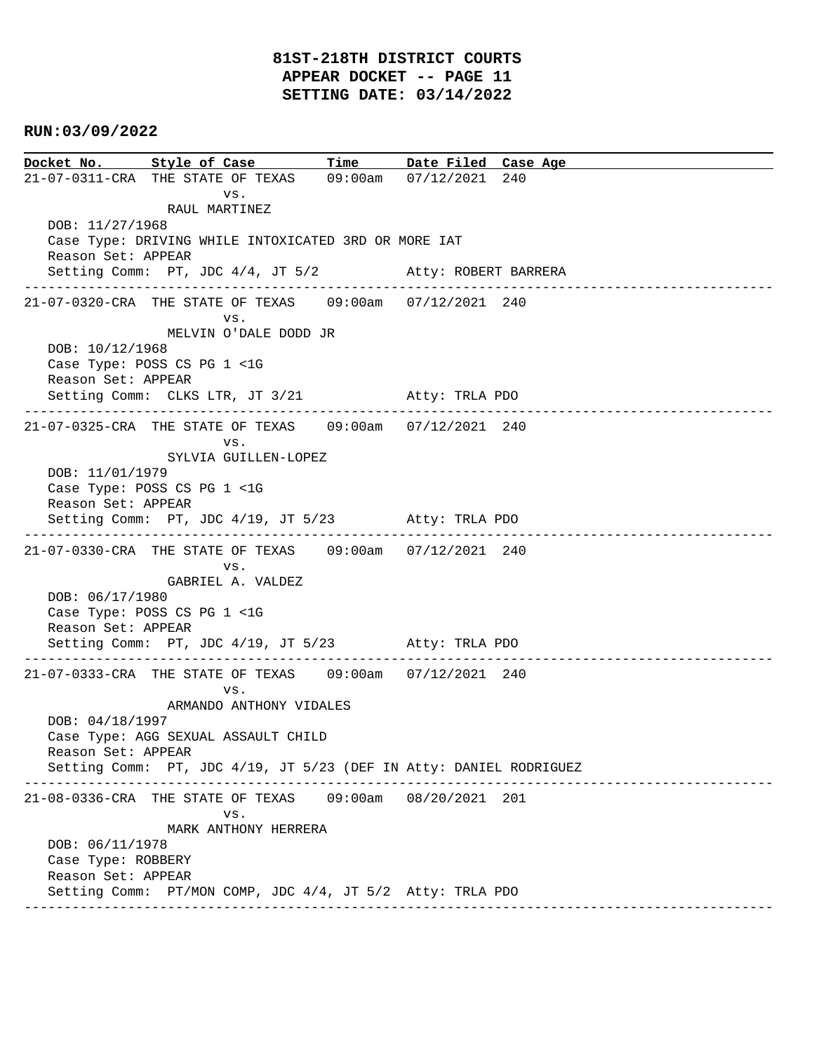**Docket No. Style of Case Time Date Filed Case Age**  21-07-0311-CRA THE STATE OF TEXAS 09:00am 07/12/2021 240 vs. RAUL MARTINEZ DOB: 11/27/1968 Case Type: DRIVING WHILE INTOXICATED 3RD OR MORE IAT Reason Set: APPEAR Setting Comm: PT, JDC 4/4, JT 5/2 Atty: ROBERT BARRERA ---------------------------------------------------------------------------------------------- 21-07-0320-CRA THE STATE OF TEXAS 09:00am 07/12/2021 240 vs. MELVIN O'DALE DODD JR DOB: 10/12/1968 Case Type: POSS CS PG 1 <1G Reason Set: APPEAR Setting Comm: CLKS LTR, JT 3/21 Atty: TRLA PDO ---------------------------------------------------------------------------------------------- 21-07-0325-CRA THE STATE OF TEXAS 09:00am 07/12/2021 240 vs. SYLVIA GUILLEN-LOPEZ DOB: 11/01/1979 Case Type: POSS CS PG 1 <1G Reason Set: APPEAR Setting Comm: PT, JDC 4/19, JT 5/23 Atty: TRLA PDO ---------------------------------------------------------------------------------------------- 21-07-0330-CRA THE STATE OF TEXAS 09:00am 07/12/2021 240 vs. GABRIEL A. VALDEZ DOB: 06/17/1980 Case Type: POSS CS PG 1 <1G Reason Set: APPEAR Setting Comm: PT, JDC 4/19, JT 5/23 Atty: TRLA PDO ---------------------------------------------------------------------------------------------- 21-07-0333-CRA THE STATE OF TEXAS 09:00am 07/12/2021 240 vs. ARMANDO ANTHONY VIDALES DOB: 04/18/1997 Case Type: AGG SEXUAL ASSAULT CHILD Reason Set: APPEAR Setting Comm: PT, JDC 4/19, JT 5/23 (DEF IN Atty: DANIEL RODRIGUEZ ---------------------------------------------------------------------------------------------- 21-08-0336-CRA THE STATE OF TEXAS 09:00am 08/20/2021 201 vs. MARK ANTHONY HERRERA DOB: 06/11/1978 Case Type: ROBBERY Reason Set: APPEAR Setting Comm: PT/MON COMP, JDC 4/4, JT 5/2 Atty: TRLA PDO ----------------------------------------------------------------------------------------------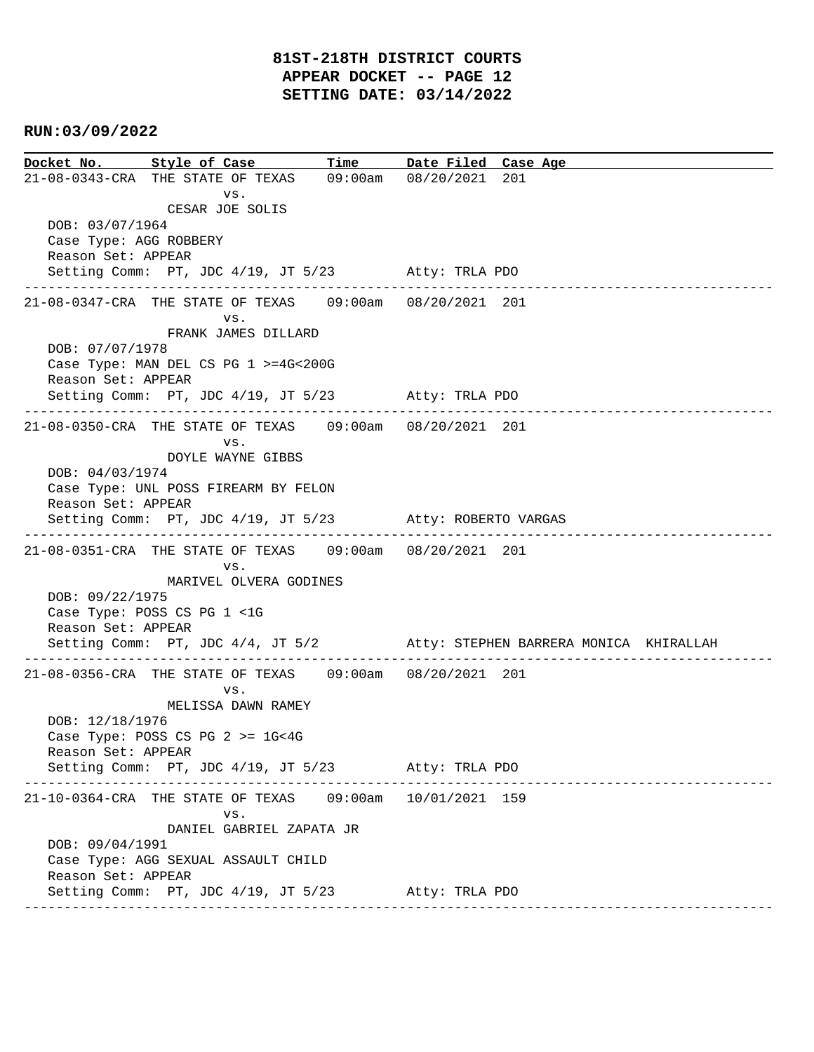**Docket No. Style of Case Time Date Filed Case Age**  21-08-0343-CRA THE STATE OF TEXAS 09:00am 08/20/2021 201 vs. CESAR JOE SOLIS DOB: 03/07/1964 Case Type: AGG ROBBERY Reason Set: APPEAR Setting Comm: PT, JDC 4/19, JT 5/23 Atty: TRLA PDO ---------------------------------------------------------------------------------------------- 21-08-0347-CRA THE STATE OF TEXAS 09:00am 08/20/2021 201 vs. FRANK JAMES DILLARD DOB: 07/07/1978 Case Type: MAN DEL CS PG 1 >=4G<200G Reason Set: APPEAR Setting Comm: PT, JDC 4/19, JT 5/23 Atty: TRLA PDO ---------------------------------------------------------------------------------------------- 21-08-0350-CRA THE STATE OF TEXAS 09:00am 08/20/2021 201 vs. DOYLE WAYNE GIBBS DOB: 04/03/1974 Case Type: UNL POSS FIREARM BY FELON Reason Set: APPEAR Setting Comm: PT, JDC 4/19, JT 5/23 Atty: ROBERTO VARGAS ---------------------------------------------------------------------------------------------- 21-08-0351-CRA THE STATE OF TEXAS 09:00am 08/20/2021 201 vs. MARIVEL OLVERA GODINES DOB: 09/22/1975 Case Type: POSS CS PG 1 <1G Reason Set: APPEAR Setting Comm: PT, JDC 4/4, JT 5/2 Atty: STEPHEN BARRERA MONICA KHIRALLAH ---------------------------------------------------------------------------------------------- 21-08-0356-CRA THE STATE OF TEXAS 09:00am 08/20/2021 201 vs. MELISSA DAWN RAMEY DOB: 12/18/1976 Case Type: POSS CS PG 2 >= 1G<4G Reason Set: APPEAR Setting Comm: PT, JDC 4/19, JT 5/23 Atty: TRLA PDO ---------------------------------------------------------------------------------------------- 21-10-0364-CRA THE STATE OF TEXAS 09:00am 10/01/2021 159 vs. DANIEL GABRIEL ZAPATA JR DOB: 09/04/1991 Case Type: AGG SEXUAL ASSAULT CHILD Reason Set: APPEAR Setting Comm: PT, JDC 4/19, JT 5/23 Atty: TRLA PDO ----------------------------------------------------------------------------------------------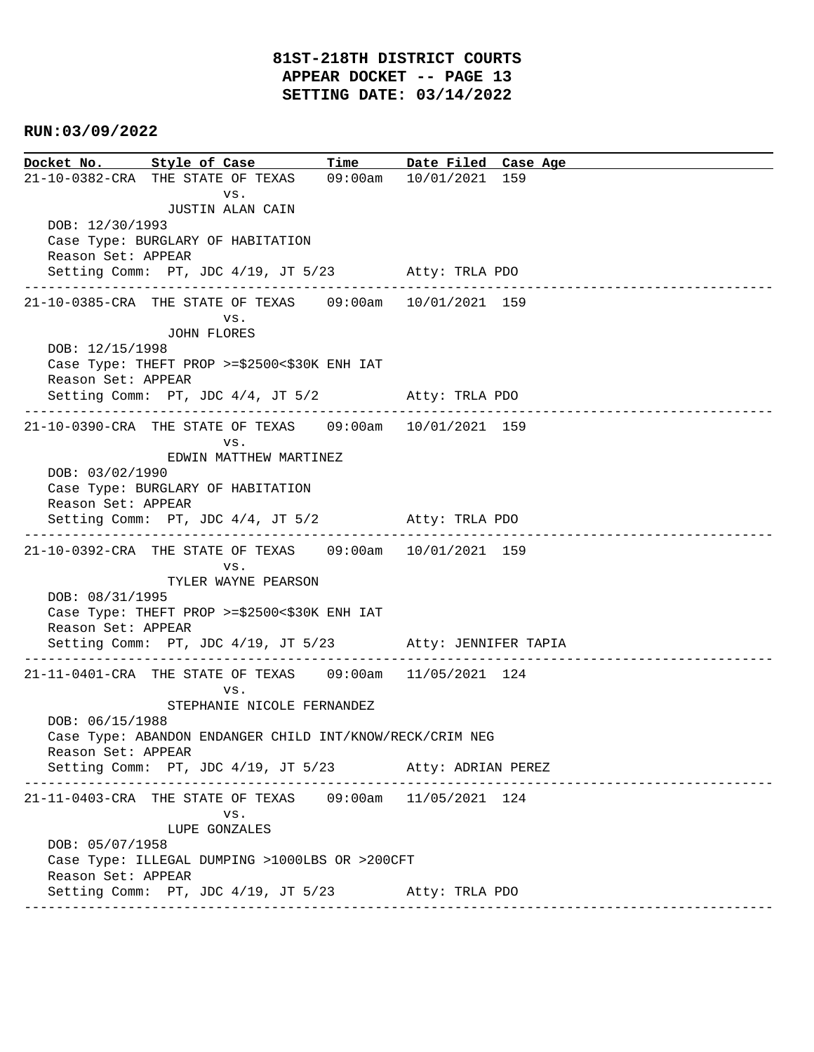**Docket No. Style of Case Time Date Filed Case Age**  21-10-0382-CRA THE STATE OF TEXAS 09:00am 10/01/2021 159 vs. JUSTIN ALAN CAIN DOB: 12/30/1993 Case Type: BURGLARY OF HABITATION Reason Set: APPEAR Setting Comm: PT, JDC 4/19, JT 5/23 Atty: TRLA PDO ---------------------------------------------------------------------------------------------- 21-10-0385-CRA THE STATE OF TEXAS 09:00am 10/01/2021 159 vs. JOHN FLORES DOB: 12/15/1998 Case Type: THEFT PROP >=\$2500<\$30K ENH IAT Reason Set: APPEAR Setting Comm: PT, JDC 4/4, JT 5/2 Atty: TRLA PDO ---------------------------------------------------------------------------------------------- 21-10-0390-CRA THE STATE OF TEXAS 09:00am 10/01/2021 159 vs. EDWIN MATTHEW MARTINEZ DOB: 03/02/1990 Case Type: BURGLARY OF HABITATION Reason Set: APPEAR Setting Comm: PT, JDC 4/4, JT 5/2 Atty: TRLA PDO ---------------------------------------------------------------------------------------------- 21-10-0392-CRA THE STATE OF TEXAS 09:00am 10/01/2021 159 vs. TYLER WAYNE PEARSON DOB: 08/31/1995 Case Type: THEFT PROP >=\$2500<\$30K ENH IAT Reason Set: APPEAR Setting Comm: PT, JDC 4/19, JT 5/23 Atty: JENNIFER TAPIA ---------------------------------------------------------------------------------------------- 21-11-0401-CRA THE STATE OF TEXAS 09:00am 11/05/2021 124 vs. STEPHANIE NICOLE FERNANDEZ DOB: 06/15/1988 Case Type: ABANDON ENDANGER CHILD INT/KNOW/RECK/CRIM NEG Reason Set: APPEAR Setting Comm: PT, JDC 4/19, JT 5/23 Atty: ADRIAN PEREZ ---------------------------------------------------------------------------------------------- 21-11-0403-CRA THE STATE OF TEXAS 09:00am 11/05/2021 124 vs. LUPE GONZALES DOB: 05/07/1958 Case Type: ILLEGAL DUMPING >1000LBS OR >200CFT Reason Set: APPEAR Setting Comm: PT, JDC 4/19, JT 5/23 Atty: TRLA PDO ----------------------------------------------------------------------------------------------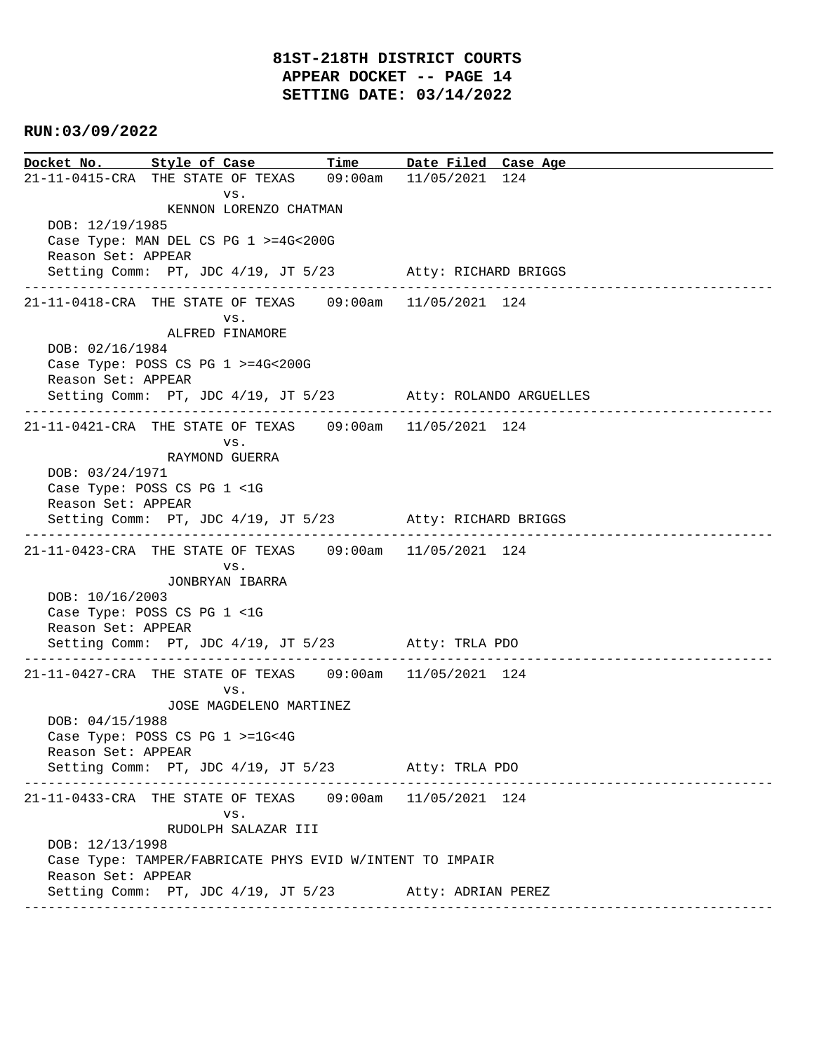**Docket No. Style of Case Time Date Filed Case Age**  21-11-0415-CRA THE STATE OF TEXAS 09:00am 11/05/2021 124 vs. KENNON LORENZO CHATMAN DOB: 12/19/1985 Case Type: MAN DEL CS PG 1 >=4G<200G Reason Set: APPEAR Setting Comm: PT, JDC 4/19, JT 5/23 Atty: RICHARD BRIGGS ---------------------------------------------------------------------------------------------- 21-11-0418-CRA THE STATE OF TEXAS 09:00am 11/05/2021 124 vs. ALFRED FINAMORE DOB: 02/16/1984 Case Type: POSS CS PG 1 >=4G<200G Reason Set: APPEAR Setting Comm: PT, JDC 4/19, JT 5/23 Atty: ROLANDO ARGUELLES ---------------------------------------------------------------------------------------------- 21-11-0421-CRA THE STATE OF TEXAS 09:00am 11/05/2021 124 vs. RAYMOND GUERRA DOB: 03/24/1971 Case Type: POSS CS PG 1 <1G Reason Set: APPEAR Setting Comm: PT, JDC 4/19, JT 5/23 Atty: RICHARD BRIGGS ---------------------------------------------------------------------------------------------- 21-11-0423-CRA THE STATE OF TEXAS 09:00am 11/05/2021 124 vs. JONBRYAN IBARRA DOB: 10/16/2003 Case Type: POSS CS PG 1 <1G Reason Set: APPEAR Setting Comm: PT, JDC 4/19, JT 5/23 Atty: TRLA PDO ---------------------------------------------------------------------------------------------- 21-11-0427-CRA THE STATE OF TEXAS 09:00am 11/05/2021 124 vs. JOSE MAGDELENO MARTINEZ DOB: 04/15/1988 Case Type: POSS CS PG 1 >=1G<4G Reason Set: APPEAR Setting Comm: PT, JDC 4/19, JT 5/23 Atty: TRLA PDO ---------------------------------------------------------------------------------------------- 21-11-0433-CRA THE STATE OF TEXAS 09:00am 11/05/2021 124 vs. RUDOLPH SALAZAR III DOB: 12/13/1998 Case Type: TAMPER/FABRICATE PHYS EVID W/INTENT TO IMPAIR Reason Set: APPEAR Setting Comm: PT, JDC 4/19, JT 5/23 Atty: ADRIAN PEREZ ----------------------------------------------------------------------------------------------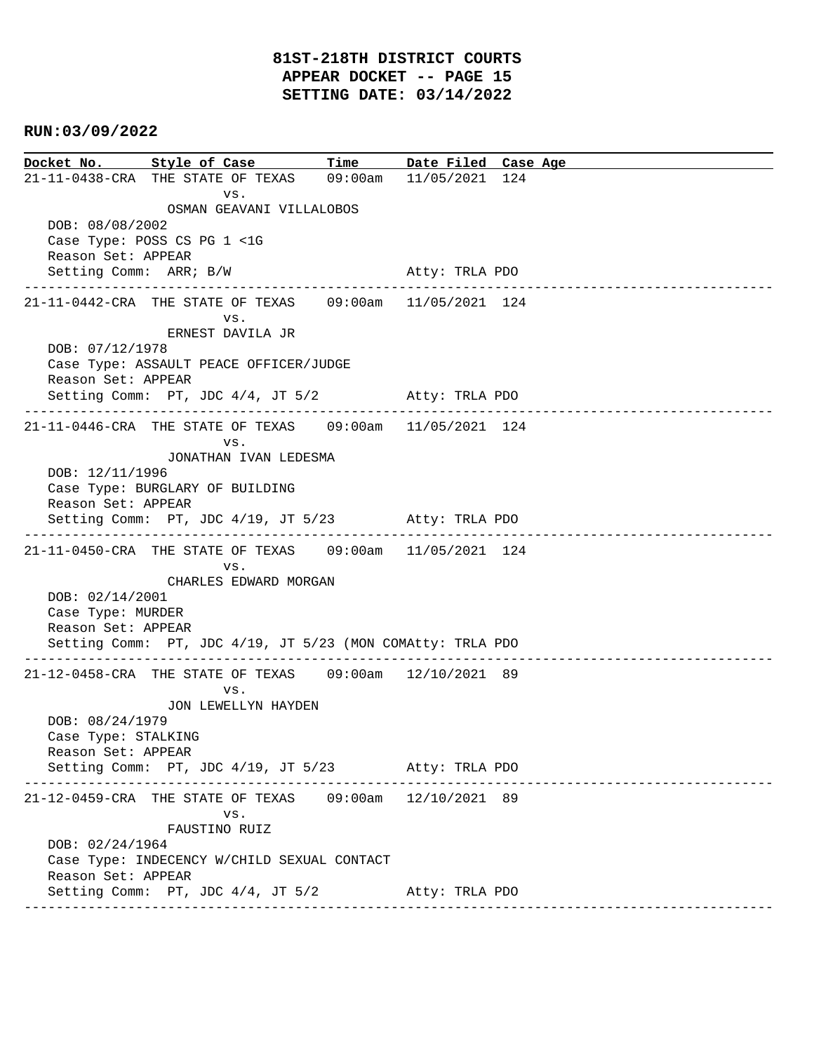**Docket No. Style of Case Time Date Filed Case Age**  21-11-0438-CRA THE STATE OF TEXAS 09:00am 11/05/2021 124 vs. OSMAN GEAVANI VILLALOBOS DOB: 08/08/2002 Case Type: POSS CS PG 1 <1G Reason Set: APPEAR Setting Comm: ARR; B/W Atty: TRLA PDO ---------------------------------------------------------------------------------------------- 21-11-0442-CRA THE STATE OF TEXAS 09:00am 11/05/2021 124 vs. ERNEST DAVILA JR DOB: 07/12/1978 Case Type: ASSAULT PEACE OFFICER/JUDGE Reason Set: APPEAR Setting Comm: PT, JDC 4/4, JT 5/2 Atty: TRLA PDO ---------------------------------------------------------------------------------------------- 21-11-0446-CRA THE STATE OF TEXAS 09:00am 11/05/2021 124 vs. JONATHAN IVAN LEDESMA DOB: 12/11/1996 Case Type: BURGLARY OF BUILDING Reason Set: APPEAR Setting Comm: PT, JDC 4/19, JT 5/23 Atty: TRLA PDO ---------------------------------------------------------------------------------------------- 21-11-0450-CRA THE STATE OF TEXAS 09:00am 11/05/2021 124 vs. CHARLES EDWARD MORGAN DOB: 02/14/2001 Case Type: MURDER Reason Set: APPEAR Setting Comm: PT, JDC 4/19, JT 5/23 (MON COMAtty: TRLA PDO ---------------------------------------------------------------------------------------------- 21-12-0458-CRA THE STATE OF TEXAS 09:00am 12/10/2021 89 vs. JON LEWELLYN HAYDEN DOB: 08/24/1979 Case Type: STALKING Reason Set: APPEAR Setting Comm: PT, JDC 4/19, JT 5/23 Atty: TRLA PDO ---------------------------------------------------------------------------------------------- 21-12-0459-CRA THE STATE OF TEXAS 09:00am 12/10/2021 89 vs. FAUSTINO RUIZ DOB: 02/24/1964 Case Type: INDECENCY W/CHILD SEXUAL CONTACT Reason Set: APPEAR Setting Comm: PT, JDC 4/4, JT 5/2 Atty: TRLA PDO ----------------------------------------------------------------------------------------------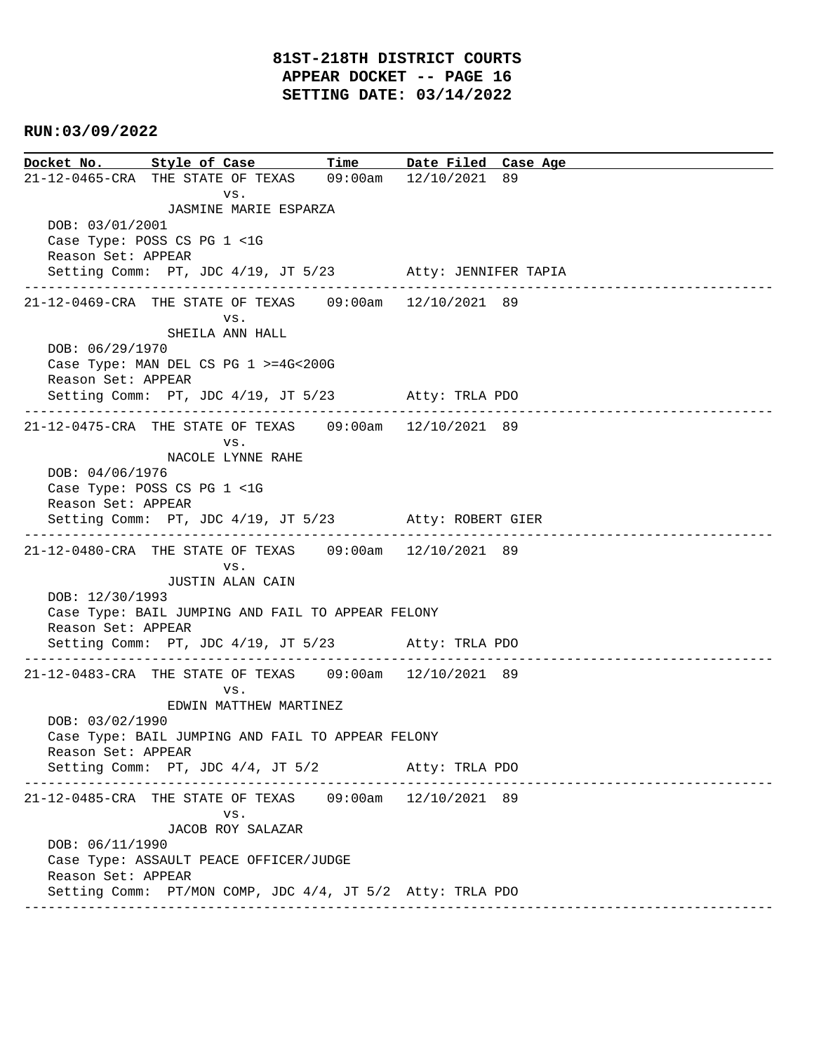**Docket No. Style of Case Time Date Filed Case Age**  21-12-0465-CRA THE STATE OF TEXAS 09:00am 12/10/2021 89 vs. JASMINE MARIE ESPARZA DOB: 03/01/2001 Case Type: POSS CS PG 1 <1G Reason Set: APPEAR Setting Comm: PT, JDC 4/19, JT 5/23 Atty: JENNIFER TAPIA ---------------------------------------------------------------------------------------------- 21-12-0469-CRA THE STATE OF TEXAS 09:00am 12/10/2021 89 vs. SHEILA ANN HALL DOB: 06/29/1970 Case Type: MAN DEL CS PG 1 >=4G<200G Reason Set: APPEAR Setting Comm: PT, JDC 4/19, JT 5/23 Atty: TRLA PDO ---------------------------------------------------------------------------------------------- 21-12-0475-CRA THE STATE OF TEXAS 09:00am 12/10/2021 89 vs. NACOLE LYNNE RAHE DOB: 04/06/1976 Case Type: POSS CS PG 1 <1G Reason Set: APPEAR Setting Comm: PT, JDC 4/19, JT 5/23 Atty: ROBERT GIER ---------------------------------------------------------------------------------------------- 21-12-0480-CRA THE STATE OF TEXAS 09:00am 12/10/2021 89 vs. JUSTIN ALAN CAIN DOB: 12/30/1993 Case Type: BAIL JUMPING AND FAIL TO APPEAR FELONY Reason Set: APPEAR Setting Comm: PT, JDC 4/19, JT 5/23 Atty: TRLA PDO ---------------------------------------------------------------------------------------------- 21-12-0483-CRA THE STATE OF TEXAS 09:00am 12/10/2021 89 vs. EDWIN MATTHEW MARTINEZ DOB: 03/02/1990 Case Type: BAIL JUMPING AND FAIL TO APPEAR FELONY Reason Set: APPEAR Setting Comm: PT, JDC 4/4, JT 5/2 Atty: TRLA PDO ---------------------------------------------------------------------------------------------- 21-12-0485-CRA THE STATE OF TEXAS 09:00am 12/10/2021 89 vs. JACOB ROY SALAZAR DOB: 06/11/1990 Case Type: ASSAULT PEACE OFFICER/JUDGE Reason Set: APPEAR Setting Comm: PT/MON COMP, JDC 4/4, JT 5/2 Atty: TRLA PDO ----------------------------------------------------------------------------------------------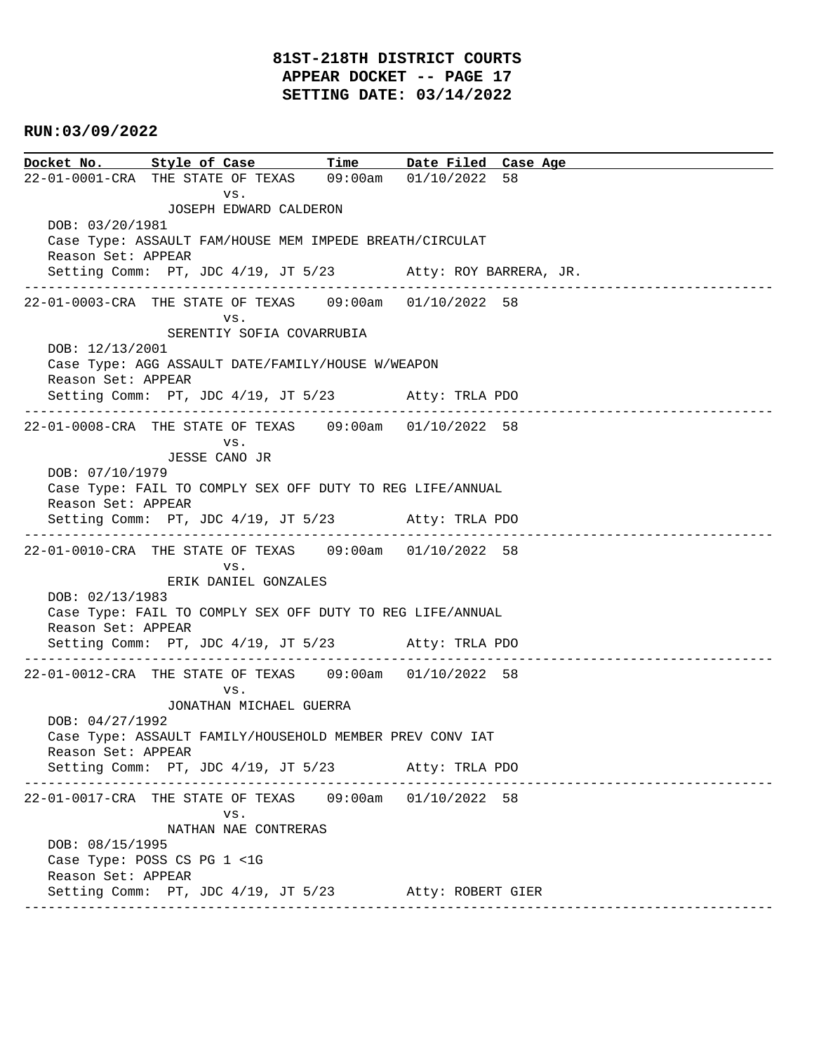# **81ST-218TH DISTRICT COURTS APPEAR DOCKET -- PAGE 17 SETTING DATE: 03/14/2022**

### **RUN:03/09/2022**

**Docket No. Style of Case Time Date Filed Case Age**  22-01-0001-CRA THE STATE OF TEXAS 09:00am 01/10/2022 58 vs. JOSEPH EDWARD CALDERON DOB: 03/20/1981 Case Type: ASSAULT FAM/HOUSE MEM IMPEDE BREATH/CIRCULAT Reason Set: APPEAR Setting Comm: PT, JDC 4/19, JT 5/23 Atty: ROY BARRERA, JR. ---------------------------------------------------------------------------------------------- 22-01-0003-CRA THE STATE OF TEXAS 09:00am 01/10/2022 58 vs. SERENTIY SOFIA COVARRUBIA DOB: 12/13/2001 Case Type: AGG ASSAULT DATE/FAMILY/HOUSE W/WEAPON Reason Set: APPEAR Setting Comm: PT, JDC 4/19, JT 5/23 Atty: TRLA PDO ---------------------------------------------------------------------------------------------- 22-01-0008-CRA THE STATE OF TEXAS 09:00am 01/10/2022 58 vs. JESSE CANO JR DOB: 07/10/1979 Case Type: FAIL TO COMPLY SEX OFF DUTY TO REG LIFE/ANNUAL Reason Set: APPEAR Setting Comm: PT, JDC 4/19, JT 5/23 Atty: TRLA PDO ---------------------------------------------------------------------------------------------- 22-01-0010-CRA THE STATE OF TEXAS 09:00am 01/10/2022 58 vs. ERIK DANIEL GONZALES DOB: 02/13/1983 Case Type: FAIL TO COMPLY SEX OFF DUTY TO REG LIFE/ANNUAL Reason Set: APPEAR Setting Comm: PT, JDC 4/19, JT 5/23 Atty: TRLA PDO ---------------------------------------------------------------------------------------------- 22-01-0012-CRA THE STATE OF TEXAS 09:00am 01/10/2022 58 vs. JONATHAN MICHAEL GUERRA DOB: 04/27/1992 Case Type: ASSAULT FAMILY/HOUSEHOLD MEMBER PREV CONV IAT Reason Set: APPEAR Setting Comm: PT, JDC 4/19, JT 5/23 Atty: TRLA PDO ---------------------------------------------------------------------------------------------- 22-01-0017-CRA THE STATE OF TEXAS 09:00am 01/10/2022 58 vs. NATHAN NAE CONTRERAS DOB: 08/15/1995 Case Type: POSS CS PG 1 <1G Reason Set: APPEAR Setting Comm: PT, JDC 4/19, JT 5/23 Atty: ROBERT GIER ----------------------------------------------------------------------------------------------